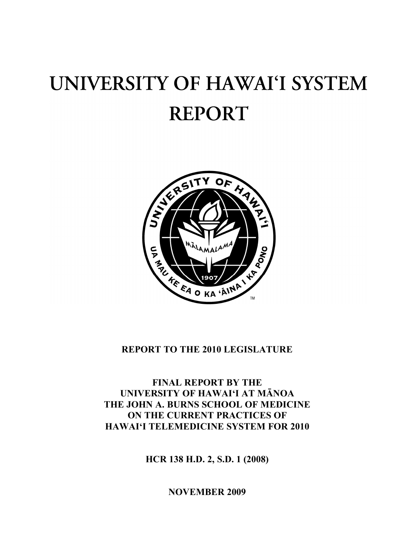# UNIVERSITY OF HAWAI'I SYSTEM **REPORT**



## **REPORT TO THE 2010 LEGISLATURE**

**FINAL REPORT BY THE UNIVERSITY OF HAWAI'I AT MĀNOA THE JOHN A. BURNS SCHOOL OF MEDICINE ON THE CURRENT PRACTICES OF HAWAI'I TELEMEDICINE SYSTEM FOR 2010**

**HCR 138 H.D. 2, S.D. 1 (2008)**

**NOVEMBER 2009**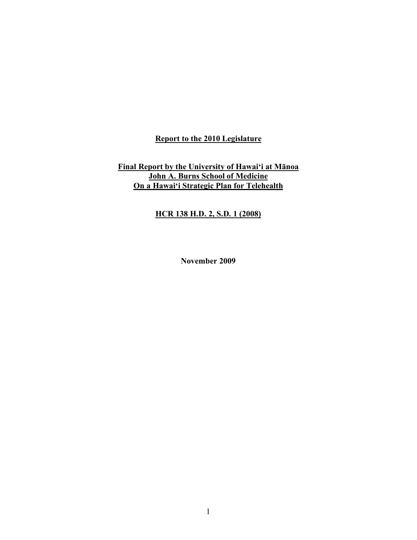#### **Report to the 2010 Legislature**

#### **Final Report by the University of Hawai'i at Mānoa John A. Burns School of Medicine On a Hawai'i Strategic Plan for Telehealth**

## **HCR 138 H.D. 2, S.D. 1 (2008)**

**November 2009**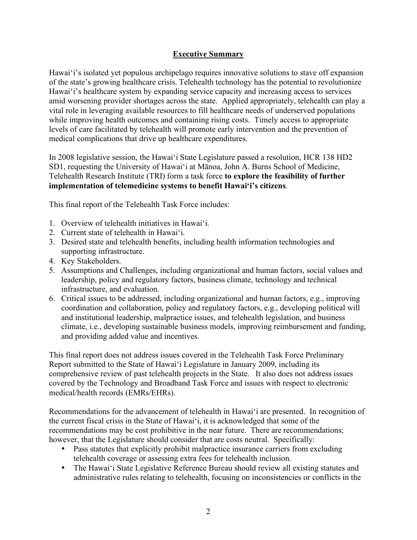## **Executive Summary**

Hawai'i's isolated yet populous archipelago requires innovative solutions to stave off expansion of the state's growing healthcare crisis. Telehealth technology has the potential to revolutionize Hawai'i's healthcare system by expanding service capacity and increasing access to services amid worsening provider shortages across the state. Applied appropriately, telehealth can play a vital role in leveraging available resources to fill healthcare needs of underserved populations while improving health outcomes and containing rising costs. Timely access to appropriate levels of care facilitated by telehealth will promote early intervention and the prevention of medical complications that drive up healthcare expenditures.

In 2008 legislative session, the Hawai'i State Legislature passed a resolution, HCR 138 HD2 SD1, requesting the University of Hawai'i at Mānoa, John A. Burns School of Medicine, Telehealth Research Institute (TRI) form a task force **to explore the feasibility of further implementation of telemedicine systems to benefit Hawai'i's citizens**.

This final report of the Telehealth Task Force includes:

- 1. Overview of telehealth initiatives in Hawai'i.
- 2. Current state of telehealth in Hawai'i.
- 3. Desired state and telehealth benefits, including health information technologies and supporting infrastructure.
- 4. Key Stakeholders.
- 5. Assumptions and Challenges, including organizational and human factors, social values and leadership, policy and regulatory factors, business climate, technology and technical infrastructure, and evaluation.
- 6. Critical issues to be addressed, including organizational and human factors, e.g., improving coordination and collaboration, policy and regulatory factors, e.g., developing political will and institutional leadership, malpractice issues, and telehealth legislation, and business climate, i.e., developing sustainable business models, improving reimbursement and funding, and providing added value and incentives.

This final report does not address issues covered in the Telehealth Task Force Preliminary Report submitted to the State of Hawai'i Legislature in January 2009, including its comprehensive review of past telehealth projects in the State. It also does not address issues covered by the Technology and Broadband Task Force and issues with respect to electronic medical/health records (EMRs/EHRs).

Recommendations for the advancement of telehealth in Hawai'i are presented. In recognition of the current fiscal crisis in the State of Hawai'i, it is acknowledged that some of the recommendations may be cost prohibitive in the near future. There are recommendations; however, that the Legislature should consider that are costs neutral. Specifically:

- Pass statutes that explicitly prohibit malpractice insurance carriers from excluding telehealth coverage or assessing extra fees for telehealth inclusion.
- The Hawai'i State Legislative Reference Bureau should review all existing statutes and administrative rules relating to telehealth, focusing on inconsistencies or conflicts in the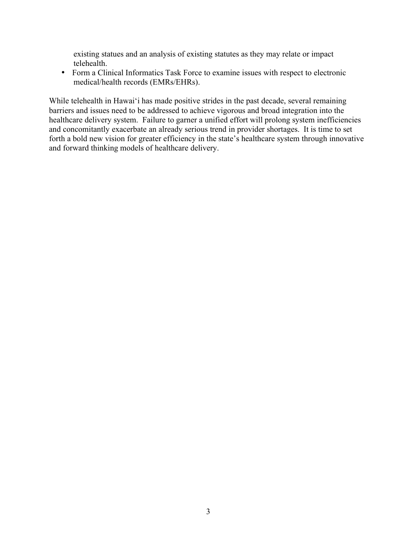existing statues and an analysis of existing statutes as they may relate or impact telehealth.

• Form a Clinical Informatics Task Force to examine issues with respect to electronic medical/health records (EMRs/EHRs).

While telehealth in Hawai'i has made positive strides in the past decade, several remaining barriers and issues need to be addressed to achieve vigorous and broad integration into the healthcare delivery system. Failure to garner a unified effort will prolong system inefficiencies and concomitantly exacerbate an already serious trend in provider shortages. It is time to set forth a bold new vision for greater efficiency in the state's healthcare system through innovative and forward thinking models of healthcare delivery.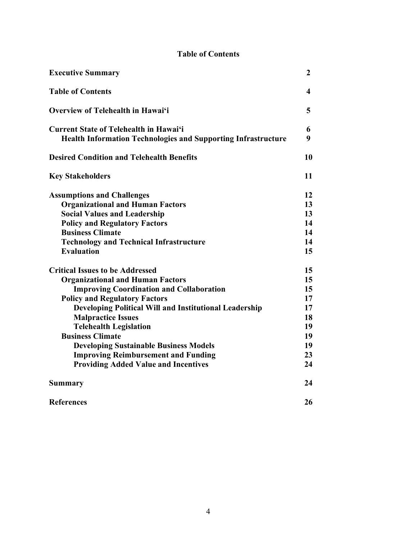## **Table of Contents**

| <b>Executive Summary</b>                                                                                              | $\boldsymbol{2}$ |
|-----------------------------------------------------------------------------------------------------------------------|------------------|
| <b>Table of Contents</b>                                                                                              | 4                |
| Overview of Telehealth in Hawai'i                                                                                     | 5                |
| <b>Current State of Telehealth in Hawai'i</b><br><b>Health Information Technologies and Supporting Infrastructure</b> | 6<br>9           |
| <b>Desired Condition and Telehealth Benefits</b>                                                                      | 10               |
| <b>Key Stakeholders</b>                                                                                               | 11               |
| <b>Assumptions and Challenges</b>                                                                                     | 12               |
| <b>Organizational and Human Factors</b>                                                                               | 13               |
| <b>Social Values and Leadership</b>                                                                                   | 13               |
| <b>Policy and Regulatory Factors</b>                                                                                  | 14               |
| <b>Business Climate</b>                                                                                               | 14               |
| <b>Technology and Technical Infrastructure</b>                                                                        | 14               |
| <b>Evaluation</b>                                                                                                     | 15               |
| <b>Critical Issues to be Addressed</b>                                                                                | 15               |
| <b>Organizational and Human Factors</b>                                                                               | 15               |
| <b>Improving Coordination and Collaboration</b>                                                                       | 15               |
| <b>Policy and Regulatory Factors</b>                                                                                  | 17               |
| <b>Developing Political Will and Institutional Leadership</b>                                                         | 17               |
| <b>Malpractice Issues</b>                                                                                             | 18               |
| <b>Telehealth Legislation</b>                                                                                         | 19               |
| <b>Business Climate</b>                                                                                               | 19               |
| <b>Developing Sustainable Business Models</b>                                                                         | 19               |
| <b>Improving Reimbursement and Funding</b>                                                                            | 23               |
| <b>Providing Added Value and Incentives</b>                                                                           | 24               |
| <b>Summary</b>                                                                                                        | 24               |
| <b>References</b>                                                                                                     | 26               |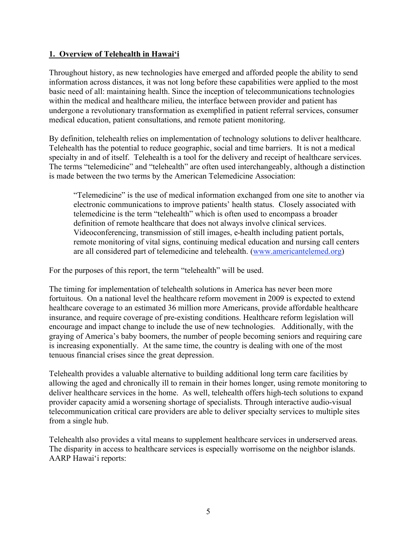#### **1. Overview of Telehealth in Hawai'i**

Throughout history, as new technologies have emerged and afforded people the ability to send information across distances, it was not long before these capabilities were applied to the most basic need of all: maintaining health. Since the inception of telecommunications technologies within the medical and healthcare milieu, the interface between provider and patient has undergone a revolutionary transformation as exemplified in patient referral services, consumer medical education, patient consultations, and remote patient monitoring.

By definition, telehealth relies on implementation of technology solutions to deliver healthcare. Telehealth has the potential to reduce geographic, social and time barriers. It is not a medical specialty in and of itself. Telehealth is a tool for the delivery and receipt of healthcare services. The terms "telemedicine" and "telehealth" are often used interchangeably, although a distinction is made between the two terms by the American Telemedicine Association:

"Telemedicine" is the use of medical information exchanged from one site to another via electronic communications to improve patients' health status. Closely associated with telemedicine is the term "telehealth" which is often used to encompass a broader definition of remote healthcare that does not always involve clinical services. Videoconferencing, transmission of still images, e-health including patient portals, remote monitoring of vital signs, continuing medical education and nursing call centers are all considered part of telemedicine and telehealth. (www.americantelemed.org)

For the purposes of this report, the term "telehealth" will be used.

The timing for implementation of telehealth solutions in America has never been more fortuitous. On a national level the healthcare reform movement in 2009 is expected to extend healthcare coverage to an estimated 36 million more Americans, provide affordable healthcare insurance, and require coverage of pre-existing conditions. Healthcare reform legislation will encourage and impact change to include the use of new technologies. Additionally, with the graying of America's baby boomers, the number of people becoming seniors and requiring care is increasing exponentially. At the same time, the country is dealing with one of the most tenuous financial crises since the great depression.

Telehealth provides a valuable alternative to building additional long term care facilities by allowing the aged and chronically ill to remain in their homes longer, using remote monitoring to deliver healthcare services in the home. As well, telehealth offers high-tech solutions to expand provider capacity amid a worsening shortage of specialists. Through interactive audio-visual telecommunication critical care providers are able to deliver specialty services to multiple sites from a single hub.

Telehealth also provides a vital means to supplement healthcare services in underserved areas. The disparity in access to healthcare services is especially worrisome on the neighbor islands. AARP Hawai'i reports: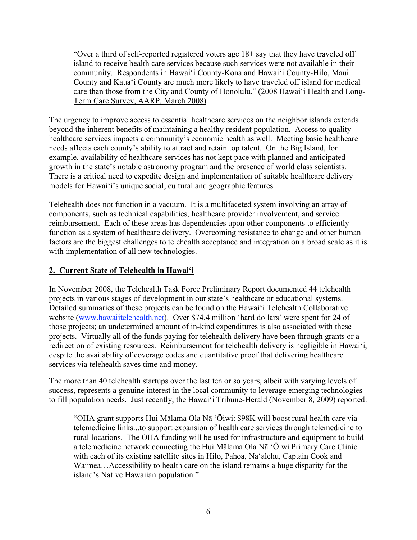"Over a third of self-reported registered voters age 18+ say that they have traveled off island to receive health care services because such services were not available in their community. Respondents in Hawai'i County-Kona and Hawai'i County-Hilo, Maui County and Kaua'i County are much more likely to have traveled off island for medical care than those from the City and County of Honolulu." (2008 Hawai'i Health and Long-Term Care Survey, AARP, March 2008)

The urgency to improve access to essential healthcare services on the neighbor islands extends beyond the inherent benefits of maintaining a healthy resident population. Access to quality healthcare services impacts a community's economic health as well. Meeting basic healthcare needs affects each county's ability to attract and retain top talent. On the Big Island, for example, availability of healthcare services has not kept pace with planned and anticipated growth in the state's notable astronomy program and the presence of world class scientists. There is a critical need to expedite design and implementation of suitable healthcare delivery models for Hawai'i's unique social, cultural and geographic features.

Telehealth does not function in a vacuum. It is a multifaceted system involving an array of components, such as technical capabilities, healthcare provider involvement, and service reimbursement. Each of these areas has dependencies upon other components to efficiently function as a system of healthcare delivery. Overcoming resistance to change and other human factors are the biggest challenges to telehealth acceptance and integration on a broad scale as it is with implementation of all new technologies.

### **2. Current State of Telehealth in Hawai'i**

In November 2008, the Telehealth Task Force Preliminary Report documented 44 telehealth projects in various stages of development in our state's healthcare or educational systems. Detailed summaries of these projects can be found on the Hawai'i Telehealth Collaborative website (www.hawaiitelehealth.net). Over \$74.4 million 'hard dollars' were spent for 24 of those projects; an undetermined amount of in-kind expenditures is also associated with these projects. Virtually all of the funds paying for telehealth delivery have been through grants or a redirection of existing resources. Reimbursement for telehealth delivery is negligible in Hawai'i, despite the availability of coverage codes and quantitative proof that delivering healthcare services via telehealth saves time and money.

The more than 40 telehealth startups over the last ten or so years, albeit with varying levels of success, represents a genuine interest in the local community to leverage emerging technologies to fill population needs. Just recently, the Hawai'i Tribune-Herald (November 8, 2009) reported:

"OHA grant supports Hui Mālama Ola Nā 'Ōiwi: \$98K will boost rural health care via telemedicine links...to support expansion of health care services through telemedicine to rural locations. The OHA funding will be used for infrastructure and equipment to build a telemedicine network connecting the Hui Mālama Ola Nā 'Ōiwi Primary Care Clinic with each of its existing satellite sites in Hilo, Pāhoa, Na'alehu, Captain Cook and Waimea…Accessibility to health care on the island remains a huge disparity for the island's Native Hawaiian population."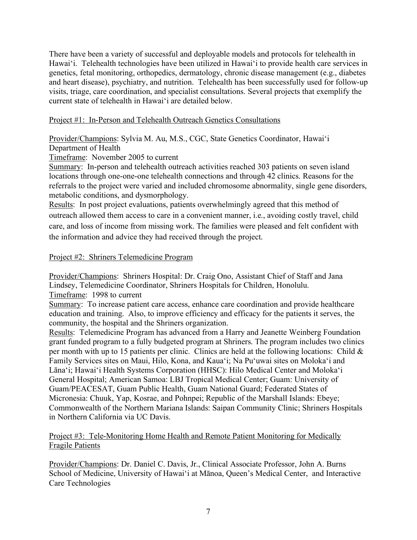There have been a variety of successful and deployable models and protocols for telehealth in Hawai'i. Telehealth technologies have been utilized in Hawai'i to provide health care services in genetics, fetal monitoring, orthopedics, dermatology, chronic disease management (e.g., diabetes and heart disease), psychiatry, and nutrition. Telehealth has been successfully used for follow-up visits, triage, care coordination, and specialist consultations. Several projects that exemplify the current state of telehealth in Hawai'i are detailed below.

#### Project #1: In-Person and Telehealth Outreach Genetics Consultations

Provider/Champions: Sylvia M. Au, M.S., CGC, State Genetics Coordinator, Hawai'i Department of Health

Timeframe: November 2005 to current

Summary: In-person and telehealth outreach activities reached 303 patients on seven island locations through one-one-one telehealth connections and through 42 clinics. Reasons for the referrals to the project were varied and included chromosome abnormality, single gene disorders, metabolic conditions, and dysmorphology.

Results: In post project evaluations, patients overwhelmingly agreed that this method of outreach allowed them access to care in a convenient manner, i.e., avoiding costly travel, child care, and loss of income from missing work. The families were pleased and felt confident with the information and advice they had received through the project.

#### Project #2: Shriners Telemedicine Program

Provider/Champions: Shriners Hospital: Dr. Craig Ono, Assistant Chief of Staff and Jana Lindsey, Telemedicine Coordinator, Shriners Hospitals for Children, Honolulu.

Timeframe: 1998 to current

Summary: To increase patient care access, enhance care coordination and provide healthcare education and training. Also, to improve efficiency and efficacy for the patients it serves, the community, the hospital and the Shriners organization.

Results: Telemedicine Program has advanced from a Harry and Jeanette Weinberg Foundation grant funded program to a fully budgeted program at Shriners. The program includes two clinics per month with up to 15 patients per clinic. Clinics are held at the following locations: Child & Family Services sites on Maui, Hilo, Kona, and Kaua'i; Na Pu'uwai sites on Moloka'i and Lāna'i; Hawai'i Health Systems Corporation (HHSC): Hilo Medical Center and Moloka'i General Hospital; American Samoa: LBJ Tropical Medical Center; Guam: University of Guam/PEACESAT, Guam Public Health, Guam National Guard; Federated States of Micronesia: Chuuk, Yap, Kosrae, and Pohnpei; Republic of the Marshall Islands: Ebeye; Commonwealth of the Northern Mariana Islands: Saipan Community Clinic; Shriners Hospitals in Northern California via UC Davis.

#### Project #3: Tele-Monitoring Home Health and Remote Patient Monitoring for Medically Fragile Patients

Provider/Champions: Dr. Daniel C. Davis, Jr., Clinical Associate Professor, John A. Burns School of Medicine, University of Hawai'i at Mānoa, Queen's Medical Center, and Interactive Care Technologies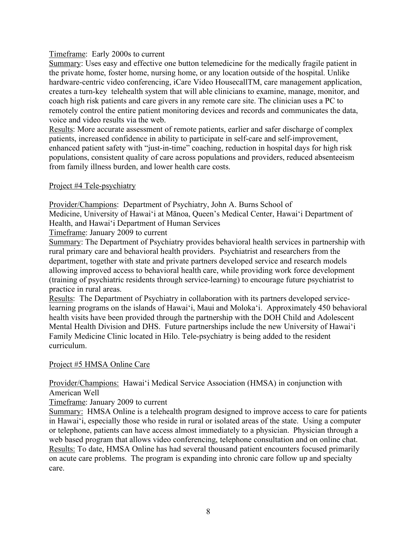#### Timeframe: Early 2000s to current

Summary: Uses easy and effective one button telemedicine for the medically fragile patient in the private home, foster home, nursing home, or any location outside of the hospital. Unlike hardware-centric video conferencing, iCare Video HousecallTM, care management application, creates a turn-key telehealth system that will able clinicians to examine, manage, monitor, and coach high risk patients and care givers in any remote care site. The clinician uses a PC to remotely control the entire patient monitoring devices and records and communicates the data, voice and video results via the web.

Results: More accurate assessment of remote patients, earlier and safer discharge of complex patients, increased confidence in ability to participate in self-care and self-improvement, enhanced patient safety with "just-in-time" coaching, reduction in hospital days for high risk populations, consistent quality of care across populations and providers, reduced absenteeism from family illness burden, and lower health care costs.

#### Project #4 Tele-psychiatry

Provider/Champions: Department of Psychiatry, John A. Burns School of Medicine, University of Hawai'i at Mānoa, Queen's Medical Center, Hawai'i Department of Health, and Hawai'i Department of Human Services

Timeframe: January 2009 to current

Summary: The Department of Psychiatry provides behavioral health services in partnership with rural primary care and behavioral health providers. Psychiatrist and researchers from the department, together with state and private partners developed service and research models allowing improved access to behavioral health care, while providing work force development (training of psychiatric residents through service-learning) to encourage future psychiatrist to practice in rural areas.

Results: The Department of Psychiatry in collaboration with its partners developed servicelearning programs on the islands of Hawai'i, Maui and Moloka'i. Approximately 450 behavioral health visits have been provided through the partnership with the DOH Child and Adolescent Mental Health Division and DHS. Future partnerships include the new University of Hawai'i Family Medicine Clinic located in Hilo. Tele-psychiatry is being added to the resident curriculum.

#### Project #5 HMSA Online Care

#### Provider/Champions: Hawai'i Medical Service Association (HMSA) in conjunction with American Well

Timeframe: January 2009 to current

Summary: HMSA Online is a telehealth program designed to improve access to care for patients in Hawai'i, especially those who reside in rural or isolated areas of the state. Using a computer or telephone, patients can have access almost immediately to a physician. Physician through a web based program that allows video conferencing, telephone consultation and on online chat. Results: To date, HMSA Online has had several thousand patient encounters focused primarily on acute care problems. The program is expanding into chronic care follow up and specialty care.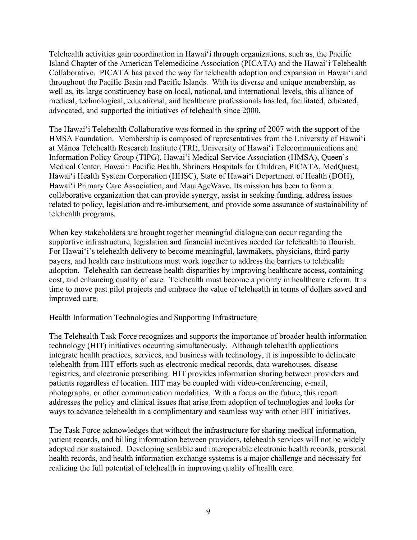Telehealth activities gain coordination in Hawai'i through organizations, such as, the Pacific Island Chapter of the American Telemedicine Association (PICATA) and the Hawai'i Telehealth Collaborative. PICATA has paved the way for telehealth adoption and expansion in Hawai'i and throughout the Pacific Basin and Pacific Islands. With its diverse and unique membership, as well as, its large constituency base on local, national, and international levels, this alliance of medical, technological, educational, and healthcare professionals has led, facilitated, educated, advocated, and supported the initiatives of telehealth since 2000.

The Hawai'i Telehealth Collaborative was formed in the spring of 2007 with the support of the HMSA Foundation. Membership is composed of representatives from the University of Hawai'i at Mānoa Telehealth Research Institute (TRI), University of Hawai'i Telecommunications and Information Policy Group (TIPG), Hawai'i Medical Service Association (HMSA), Queen's Medical Center, Hawai'i Pacific Health, Shriners Hospitals for Children, PICATA, MedQuest, Hawai'i Health System Corporation (HHSC), State of Hawai'i Department of Health (DOH), Hawai'i Primary Care Association, and MauiAgeWave. Its mission has been to form a collaborative organization that can provide synergy, assist in seeking funding, address issues related to policy, legislation and re-imbursement, and provide some assurance of sustainability of telehealth programs.

When key stakeholders are brought together meaningful dialogue can occur regarding the supportive infrastructure, legislation and financial incentives needed for telehealth to flourish. For Hawai'i's telehealth delivery to become meaningful, lawmakers, physicians, third-party payers, and health care institutions must work together to address the barriers to telehealth adoption. Telehealth can decrease health disparities by improving healthcare access, containing cost, and enhancing quality of care. Telehealth must become a priority in healthcare reform. It is time to move past pilot projects and embrace the value of telehealth in terms of dollars saved and improved care.

#### Health Information Technologies and Supporting Infrastructure

The Telehealth Task Force recognizes and supports the importance of broader health information technology (HIT) initiatives occurring simultaneously. Although telehealth applications integrate health practices, services, and business with technology, it is impossible to delineate telehealth from HIT efforts such as electronic medical records, data warehouses, disease registries, and electronic prescribing. HIT provides information sharing between providers and patients regardless of location. HIT may be coupled with video-conferencing, e-mail, photographs, or other communication modalities. With a focus on the future, this report addresses the policy and clinical issues that arise from adoption of technologies and looks for ways to advance telehealth in a complimentary and seamless way with other HIT initiatives.

The Task Force acknowledges that without the infrastructure for sharing medical information, patient records, and billing information between providers, telehealth services will not be widely adopted nor sustained. Developing scalable and interoperable electronic health records, personal health records, and health information exchange systems is a major challenge and necessary for realizing the full potential of telehealth in improving quality of health care.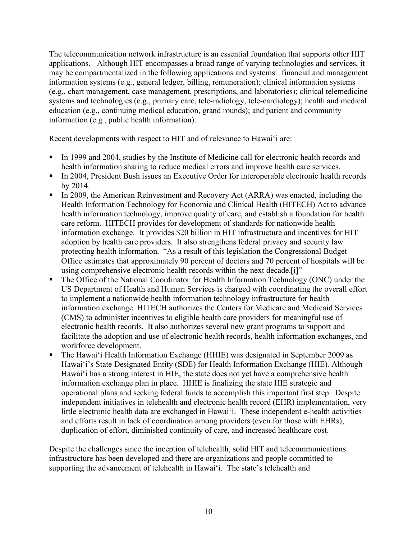The telecommunication network infrastructure is an essential foundation that supports other HIT applications. Although HIT encompasses a broad range of varying technologies and services, it may be compartmentalized in the following applications and systems: financial and management information systems (e.g., general ledger, billing, remuneration); clinical information systems (e.g., chart management, case management, prescriptions, and laboratories); clinical telemedicine systems and technologies (e.g., primary care, tele-radiology, tele-cardiology); health and medical education (e.g., continuing medical education, grand rounds); and patient and community information (e.g., public health information).

Recent developments with respect to HIT and of relevance to Hawai'i are:

- In 1999 and 2004, studies by the Institute of Medicine call for electronic health records and health information sharing to reduce medical errors and improve health care services.
- In 2004, President Bush issues an Executive Order for interoperable electronic health records by 2014.
- In 2009, the American Reinvestment and Recovery Act (ARRA) was enacted, including the Health Information Technology for Economic and Clinical Health (HITECH) Act to advance health information technology, improve quality of care, and establish a foundation for health care reform. HITECH provides for development of standards for nationwide health information exchange. It provides \$20 billion in HIT infrastructure and incentives for HIT adoption by health care providers. It also strengthens federal privacy and security law protecting health information. "As a result of this legislation the Congressional Budget Office estimates that approximately 90 percent of doctors and 70 percent of hospitals will be using comprehensive electronic health records within the next decade.[i]"
- The Office of the National Coordinator for Health Information Technology (ONC) under the US Department of Health and Human Services is charged with coordinating the overall effort to implement a nationwide health information technology infrastructure for health information exchange. HITECH authorizes the Centers for Medicare and Medicaid Services (CMS) to administer incentives to eligible health care providers for meaningful use of electronic health records. It also authorizes several new grant programs to support and facilitate the adoption and use of electronic health records, health information exchanges, and workforce development.
- The Hawai'i Health Information Exchange (HHIE) was designated in September 2009 as Hawai'i's State Designated Entity (SDE) for Health Information Exchange (HIE). Although Hawai'i has a strong interest in HIE, the state does not yet have a comprehensive health information exchange plan in place. HHIE is finalizing the state HIE strategic and operational plans and seeking federal funds to accomplish this important first step. Despite independent initiatives in telehealth and electronic health record (EHR) implementation, very little electronic health data are exchanged in Hawai'i. These independent e-health activities and efforts result in lack of coordination among providers (even for those with EHRs), duplication of effort, diminished continuity of care, and increased healthcare cost.

Despite the challenges since the inception of telehealth, solid HIT and telecommunications infrastructure has been developed and there are organizations and people committed to supporting the advancement of telehealth in Hawai'i. The state's telehealth and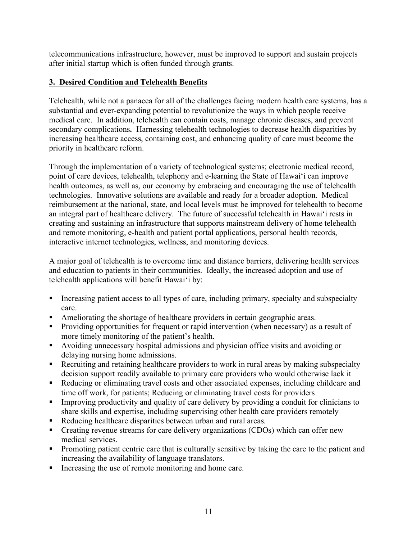telecommunications infrastructure, however, must be improved to support and sustain projects after initial startup which is often funded through grants.

## **3. Desired Condition and Telehealth Benefits**

Telehealth, while not a panacea for all of the challenges facing modern health care systems, has a substantial and ever-expanding potential to revolutionize the ways in which people receive medical care. In addition, telehealth can contain costs, manage chronic diseases, and prevent secondary complications**.** Harnessing telehealth technologies to decrease health disparities by increasing healthcare access, containing cost, and enhancing quality of care must become the priority in healthcare reform.

Through the implementation of a variety of technological systems; electronic medical record, point of care devices, telehealth, telephony and e-learning the State of Hawai'i can improve health outcomes, as well as, our economy by embracing and encouraging the use of telehealth technologies. Innovative solutions are available and ready for a broader adoption. Medical reimbursement at the national, state, and local levels must be improved for telehealth to become an integral part of healthcare delivery. The future of successful telehealth in Hawai'i rests in creating and sustaining an infrastructure that supports mainstream delivery of home telehealth and remote monitoring, e-health and patient portal applications, personal health records, interactive internet technologies, wellness, and monitoring devices.

A major goal of telehealth is to overcome time and distance barriers, delivering health services and education to patients in their communities. Ideally, the increased adoption and use of telehealth applications will benefit Hawai'i by:

- Increasing patient access to all types of care, including primary, specialty and subspecialty care.
- Ameliorating the shortage of healthcare providers in certain geographic areas.
- **Providing opportunities for frequent or rapid intervention (when necessary) as a result of** more timely monitoring of the patient's health.
- Avoiding unnecessary hospital admissions and physician office visits and avoiding or delaying nursing home admissions.
- Recruiting and retaining healthcare providers to work in rural areas by making subspecialty decision support readily available to primary care providers who would otherwise lack it
- Reducing or eliminating travel costs and other associated expenses, including childcare and time off work, for patients; Reducing or eliminating travel costs for providers
- Improving productivity and quality of care delivery by providing a conduit for clinicians to share skills and expertise, including supervising other health care providers remotely
- Reducing healthcare disparities between urban and rural areas.
- Creating revenue streams for care delivery organizations (CDOs) which can offer new medical services.
- **Promoting patient centric care that is culturally sensitive by taking the care to the patient and** increasing the availability of language translators.
- Increasing the use of remote monitoring and home care.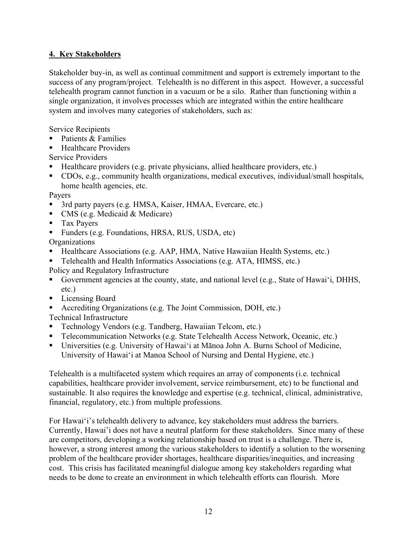## **4. Key Stakeholders**

Stakeholder buy-in, as well as continual commitment and support is extremely important to the success of any program/project. Telehealth is no different in this aspect. However, a successful telehealth program cannot function in a vacuum or be a silo. Rather than functioning within a single organization, it involves processes which are integrated within the entire healthcare system and involves many categories of stakeholders, such as:

Service Recipients

- $\blacksquare$  Patients & Families
- Healthcare Providers
- Service Providers
- Healthcare providers (e.g. private physicians, allied healthcare providers, etc.)
- CDOs, e.g., community health organizations, medical executives, individual/small hospitals, home health agencies, etc.

Payers

- 3rd party payers (e.g. HMSA, Kaiser, HMAA, Evercare, etc.)
- $\blacksquare$  CMS (e.g. Medicaid & Medicare)
- **Tax Payers**
- Funders (e.g. Foundations, HRSA, RUS, USDA, etc)

**Organizations** 

- Healthcare Associations (e.g. AAP, HMA, Native Hawaiian Health Systems, etc.)
- Telehealth and Health Informatics Associations (e.g. ATA, HIMSS, etc.)
- Policy and Regulatory Infrastructure
- Government agencies at the county, state, and national level (e.g., State of Hawai'i, DHHS, etc.)
- Licensing Board
- Accrediting Organizations (e.g. The Joint Commission, DOH, etc.)

Technical Infrastructure

- Technology Vendors (e.g. Tandberg, Hawaiian Telcom, etc.)
- Telecommunication Networks (e.g. State Telehealth Access Network, Oceanic, etc.)
- Universities (e.g. University of Hawai'i at Mānoa John A. Burns School of Medicine, University of Hawai'i at Manoa School of Nursing and Dental Hygiene, etc.)

Telehealth is a multifaceted system which requires an array of components (i.e. technical capabilities, healthcare provider involvement, service reimbursement, etc) to be functional and sustainable. It also requires the knowledge and expertise (e.g. technical, clinical, administrative, financial, regulatory, etc.) from multiple professions.

For Hawai'i's telehealth delivery to advance, key stakeholders must address the barriers. Currently, Hawai'i does not have a neutral platform for these stakeholders. Since many of these are competitors, developing a working relationship based on trust is a challenge. There is, however, a strong interest among the various stakeholders to identify a solution to the worsening problem of the healthcare provider shortages, healthcare disparities/inequities, and increasing cost. This crisis has facilitated meaningful dialogue among key stakeholders regarding what needs to be done to create an environment in which telehealth efforts can flourish. More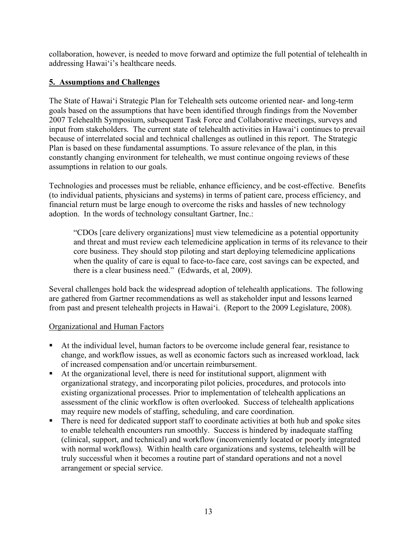collaboration, however, is needed to move forward and optimize the full potential of telehealth in addressing Hawai'i's healthcare needs.

## **5. Assumptions and Challenges**

The State of Hawai'i Strategic Plan for Telehealth sets outcome oriented near- and long-term goals based on the assumptions that have been identified through findings from the November 2007 Telehealth Symposium, subsequent Task Force and Collaborative meetings, surveys and input from stakeholders. The current state of telehealth activities in Hawai'i continues to prevail because of interrelated social and technical challenges as outlined in this report. The Strategic Plan is based on these fundamental assumptions. To assure relevance of the plan, in this constantly changing environment for telehealth, we must continue ongoing reviews of these assumptions in relation to our goals.

Technologies and processes must be reliable, enhance efficiency, and be cost-effective. Benefits (to individual patients, physicians and systems) in terms of patient care, process efficiency, and financial return must be large enough to overcome the risks and hassles of new technology adoption. In the words of technology consultant Gartner, Inc.:

"CDOs [care delivery organizations] must view telemedicine as a potential opportunity and threat and must review each telemedicine application in terms of its relevance to their core business. They should stop piloting and start deploying telemedicine applications when the quality of care is equal to face-to-face care, cost savings can be expected, and there is a clear business need." (Edwards, et al, 2009).

Several challenges hold back the widespread adoption of telehealth applications. The following are gathered from Gartner recommendations as well as stakeholder input and lessons learned from past and present telehealth projects in Hawai'i. (Report to the 2009 Legislature, 2008).

#### Organizational and Human Factors

- At the individual level, human factors to be overcome include general fear, resistance to change, and workflow issues, as well as economic factors such as increased workload, lack of increased compensation and/or uncertain reimbursement.
- At the organizational level, there is need for institutional support, alignment with organizational strategy, and incorporating pilot policies, procedures, and protocols into existing organizational processes. Prior to implementation of telehealth applications an assessment of the clinic workflow is often overlooked. Success of telehealth applications may require new models of staffing, scheduling, and care coordination.
- There is need for dedicated support staff to coordinate activities at both hub and spoke sites to enable telehealth encounters run smoothly. Success is hindered by inadequate staffing (clinical, support, and technical) and workflow (inconveniently located or poorly integrated with normal workflows). Within health care organizations and systems, telehealth will be truly successful when it becomes a routine part of standard operations and not a novel arrangement or special service.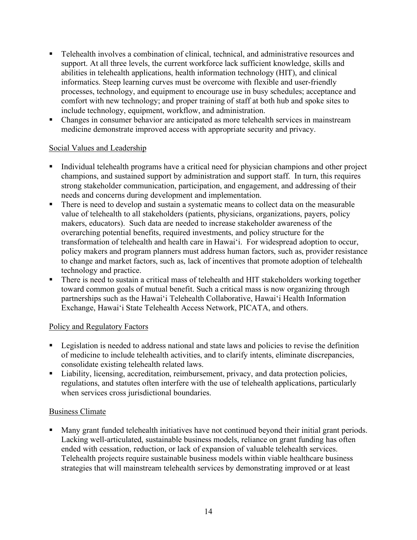- Telehealth involves a combination of clinical, technical, and administrative resources and support. At all three levels, the current workforce lack sufficient knowledge, skills and abilities in telehealth applications, health information technology (HIT), and clinical informatics. Steep learning curves must be overcome with flexible and user-friendly processes, technology, and equipment to encourage use in busy schedules; acceptance and comfort with new technology; and proper training of staff at both hub and spoke sites to include technology, equipment, workflow, and administration.
- Changes in consumer behavior are anticipated as more telehealth services in mainstream medicine demonstrate improved access with appropriate security and privacy.

#### Social Values and Leadership

- Individual telehealth programs have a critical need for physician champions and other project champions, and sustained support by administration and support staff. In turn, this requires strong stakeholder communication, participation, and engagement, and addressing of their needs and concerns during development and implementation.
- There is need to develop and sustain a systematic means to collect data on the measurable value of telehealth to all stakeholders (patients, physicians, organizations, payers, policy makers, educators). Such data are needed to increase stakeholder awareness of the overarching potential benefits, required investments, and policy structure for the transformation of telehealth and health care in Hawai'i. For widespread adoption to occur, policy makers and program planners must address human factors, such as, provider resistance to change and market factors, such as, lack of incentives that promote adoption of telehealth technology and practice.
- There is need to sustain a critical mass of telehealth and HIT stakeholders working together toward common goals of mutual benefit. Such a critical mass is now organizing through partnerships such as the Hawai'i Telehealth Collaborative, Hawai'i Health Information Exchange, Hawai'i State Telehealth Access Network, PICATA, and others.

#### Policy and Regulatory Factors

- **Example 1** Legislation is needed to address national and state laws and policies to revise the definition of medicine to include telehealth activities, and to clarify intents, eliminate discrepancies, consolidate existing telehealth related laws.
- Liability, licensing, accreditation, reimbursement, privacy, and data protection policies, regulations, and statutes often interfere with the use of telehealth applications, particularly when services cross jurisdictional boundaries.

#### Business Climate

 Many grant funded telehealth initiatives have not continued beyond their initial grant periods. Lacking well-articulated, sustainable business models, reliance on grant funding has often ended with cessation, reduction, or lack of expansion of valuable telehealth services. Telehealth projects require sustainable business models within viable healthcare business strategies that will mainstream telehealth services by demonstrating improved or at least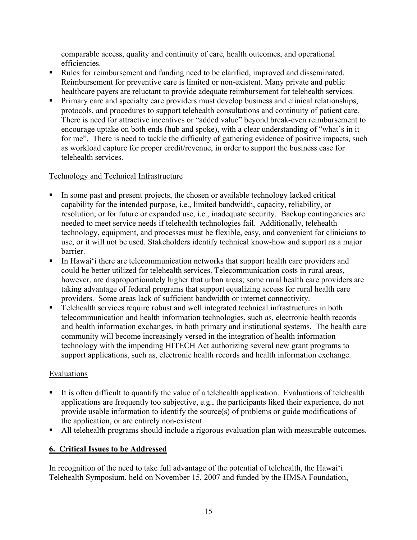comparable access, quality and continuity of care, health outcomes, and operational efficiencies.

- Rules for reimbursement and funding need to be clarified, improved and disseminated. Reimbursement for preventive care is limited or non-existent. Many private and public healthcare payers are reluctant to provide adequate reimbursement for telehealth services.
- Primary care and specialty care providers must develop business and clinical relationships, protocols, and procedures to support telehealth consultations and continuity of patient care. There is need for attractive incentives or "added value" beyond break-even reimbursement to encourage uptake on both ends (hub and spoke), with a clear understanding of "what's in it for me". There is need to tackle the difficulty of gathering evidence of positive impacts, such as workload capture for proper credit/revenue, in order to support the business case for telehealth services.

## Technology and Technical Infrastructure

- In some past and present projects, the chosen or available technology lacked critical capability for the intended purpose, i.e., limited bandwidth, capacity, reliability, or resolution, or for future or expanded use, i.e., inadequate security. Backup contingencies are needed to meet service needs if telehealth technologies fail. Additionally, telehealth technology, equipment, and processes must be flexible, easy, and convenient for clinicians to use, or it will not be used. Stakeholders identify technical know-how and support as a major barrier.
- In Hawai'i there are telecommunication networks that support health care providers and could be better utilized for telehealth services. Telecommunication costs in rural areas, however, are disproportionately higher that urban areas; some rural health care providers are taking advantage of federal programs that support equalizing access for rural health care providers. Some areas lack of sufficient bandwidth or internet connectivity.
- Telehealth services require robust and well integrated technical infrastructures in both telecommunication and health information technologies, such as, electronic health records and health information exchanges, in both primary and institutional systems. The health care community will become increasingly versed in the integration of health information technology with the impending HITECH Act authorizing several new grant programs to support applications, such as, electronic health records and health information exchange.

#### **Evaluations**

- It is often difficult to quantify the value of a telehealth application. Evaluations of telehealth applications are frequently too subjective, e.g., the participants liked their experience, do not provide usable information to identify the source(s) of problems or guide modifications of the application, or are entirely non-existent.
- All telehealth programs should include a rigorous evaluation plan with measurable outcomes.

## **6. Critical Issues to be Addressed**

In recognition of the need to take full advantage of the potential of telehealth, the Hawai'i Telehealth Symposium, held on November 15, 2007 and funded by the HMSA Foundation,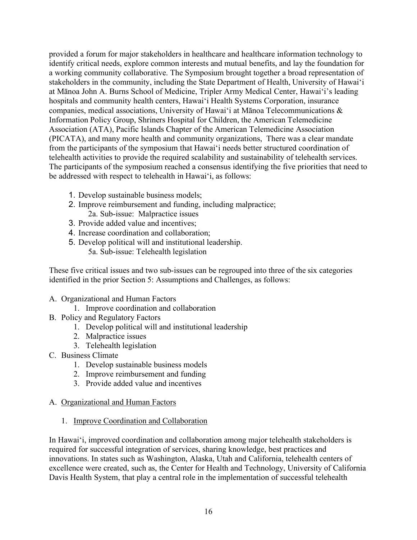provided a forum for major stakeholders in healthcare and healthcare information technology to identify critical needs, explore common interests and mutual benefits, and lay the foundation for a working community collaborative. The Symposium brought together a broad representation of stakeholders in the community, including the State Department of Health, University of Hawai'i at Mānoa John A. Burns School of Medicine, Tripler Army Medical Center, Hawai'i's leading hospitals and community health centers, Hawai'i Health Systems Corporation, insurance companies, medical associations, University of Hawai'i at Mānoa Telecommunications & Information Policy Group, Shriners Hospital for Children, the American Telemedicine Association (ATA), Pacific Islands Chapter of the American Telemedicine Association (PICATA), and many more health and community organizations, There was a clear mandate from the participants of the symposium that Hawai'i needs better structured coordination of telehealth activities to provide the required scalability and sustainability of telehealth services. The participants of the symposium reached a consensus identifying the five priorities that need to be addressed with respect to telehealth in Hawai'i, as follows:

- 1. Develop sustainable business models;
- 2. Improve reimbursement and funding, including malpractice; 2a. Sub-issue: Malpractice issues
- 3. Provide added value and incentives;
- 4. Increase coordination and collaboration;
- 5. Develop political will and institutional leadership. 5a. Sub-issue: Telehealth legislation

These five critical issues and two sub-issues can be regrouped into three of the six categories identified in the prior Section 5: Assumptions and Challenges, as follows:

- A. Organizational and Human Factors
	- 1. Improve coordination and collaboration
- B. Policy and Regulatory Factors
	- 1. Develop political will and institutional leadership
	- 2. Malpractice issues
		- 3. Telehealth legislation
- C. Business Climate
	- 1. Develop sustainable business models
	- 2. Improve reimbursement and funding
	- 3. Provide added value and incentives
- A. Organizational and Human Factors
	- 1. Improve Coordination and Collaboration

In Hawai'i, improved coordination and collaboration among major telehealth stakeholders is required for successful integration of services, sharing knowledge, best practices and innovations. In states such as Washington, Alaska, Utah and California, telehealth centers of excellence were created, such as, the Center for Health and Technology, University of California Davis Health System, that play a central role in the implementation of successful telehealth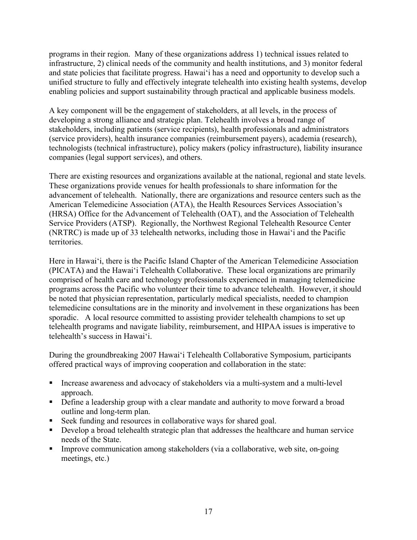programs in their region. Many of these organizations address 1) technical issues related to infrastructure, 2) clinical needs of the community and health institutions, and 3) monitor federal and state policies that facilitate progress. Hawai'i has a need and opportunity to develop such a unified structure to fully and effectively integrate telehealth into existing health systems, develop enabling policies and support sustainability through practical and applicable business models.

A key component will be the engagement of stakeholders, at all levels, in the process of developing a strong alliance and strategic plan. Telehealth involves a broad range of stakeholders, including patients (service recipients), health professionals and administrators (service providers), health insurance companies (reimbursement payers), academia (research), technologists (technical infrastructure), policy makers (policy infrastructure), liability insurance companies (legal support services), and others.

There are existing resources and organizations available at the national, regional and state levels. These organizations provide venues for health professionals to share information for the advancement of telehealth. Nationally, there are organizations and resource centers such as the American Telemedicine Association (ATA), the Health Resources Services Association's (HRSA) Office for the Advancement of Telehealth (OAT), and the Association of Telehealth Service Providers (ATSP). Regionally, the Northwest Regional Telehealth Resource Center (NRTRC) is made up of 33 telehealth networks, including those in Hawai'i and the Pacific territories.

Here in Hawai'i, there is the Pacific Island Chapter of the American Telemedicine Association (PICATA) and the Hawai'i Telehealth Collaborative. These local organizations are primarily comprised of health care and technology professionals experienced in managing telemedicine programs across the Pacific who volunteer their time to advance telehealth. However, it should be noted that physician representation, particularly medical specialists, needed to champion telemedicine consultations are in the minority and involvement in these organizations has been sporadic. A local resource committed to assisting provider telehealth champions to set up telehealth programs and navigate liability, reimbursement, and HIPAA issues is imperative to telehealth's success in Hawai'i.

During the groundbreaking 2007 Hawai'i Telehealth Collaborative Symposium, participants offered practical ways of improving cooperation and collaboration in the state:

- Increase awareness and advocacy of stakeholders via a multi-system and a multi-level approach.
- Define a leadership group with a clear mandate and authority to move forward a broad outline and long-term plan.
- Seek funding and resources in collaborative ways for shared goal.
- Develop a broad telehealth strategic plan that addresses the healthcare and human service needs of the State.
- Improve communication among stakeholders (via a collaborative, web site, on-going meetings, etc.)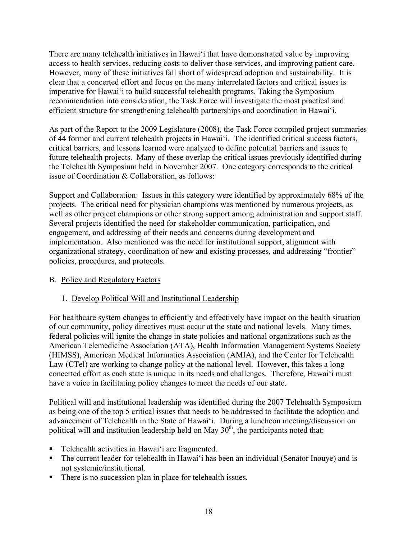There are many telehealth initiatives in Hawai'i that have demonstrated value by improving access to health services, reducing costs to deliver those services, and improving patient care. However, many of these initiatives fall short of widespread adoption and sustainability. It is clear that a concerted effort and focus on the many interrelated factors and critical issues is imperative for Hawai'i to build successful telehealth programs. Taking the Symposium recommendation into consideration, the Task Force will investigate the most practical and efficient structure for strengthening telehealth partnerships and coordination in Hawai'i.

As part of the Report to the 2009 Legislature (2008), the Task Force compiled project summaries of 44 former and current telehealth projects in Hawai'i. The identified critical success factors, critical barriers, and lessons learned were analyzed to define potential barriers and issues to future telehealth projects. Many of these overlap the critical issues previously identified during the Telehealth Symposium held in November 2007. One category corresponds to the critical issue of Coordination & Collaboration, as follows:

Support and Collaboration: Issues in this category were identified by approximately 68% of the projects. The critical need for physician champions was mentioned by numerous projects, as well as other project champions or other strong support among administration and support staff. Several projects identified the need for stakeholder communication, participation, and engagement, and addressing of their needs and concerns during development and implementation. Also mentioned was the need for institutional support, alignment with organizational strategy, coordination of new and existing processes, and addressing "frontier" policies, procedures, and protocols.

#### B. Policy and Regulatory Factors

## 1. Develop Political Will and Institutional Leadership

For healthcare system changes to efficiently and effectively have impact on the health situation of our community, policy directives must occur at the state and national levels. Many times, federal policies will ignite the change in state policies and national organizations such as the American Telemedicine Association (ATA), Health Information Management Systems Society (HIMSS), American Medical Informatics Association (AMIA), and the Center for Telehealth Law (CTel) are working to change policy at the national level. However, this takes a long concerted effort as each state is unique in its needs and challenges. Therefore, Hawai'i must have a voice in facilitating policy changes to meet the needs of our state.

Political will and institutional leadership was identified during the 2007 Telehealth Symposium as being one of the top 5 critical issues that needs to be addressed to facilitate the adoption and advancement of Telehealth in the State of Hawai'i. During a luncheon meeting/discussion on political will and institution leadership held on May  $30<sup>th</sup>$ , the participants noted that:

- Telehealth activities in Hawai'i are fragmented.
- The current leader for telehealth in Hawai'i has been an individual (Senator Inouye) and is not systemic/institutional.
- There is no succession plan in place for telehealth issues.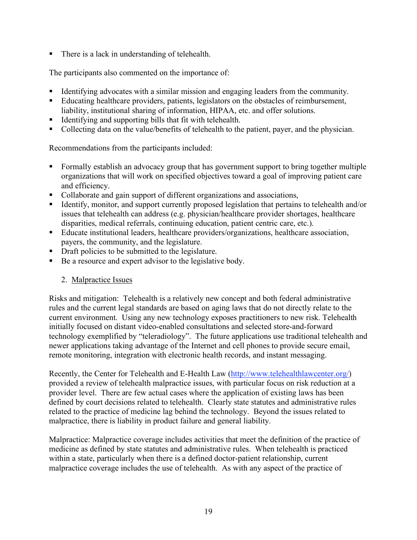■ There is a lack in understanding of telehealth.

The participants also commented on the importance of:

- Identifying advocates with a similar mission and engaging leaders from the community.
- Educating healthcare providers, patients, legislators on the obstacles of reimbursement, liability, institutional sharing of information, HIPAA, etc. and offer solutions.
- Identifying and supporting bills that fit with telehealth.
- Collecting data on the value/benefits of telehealth to the patient, payer, and the physician.

Recommendations from the participants included:

- Formally establish an advocacy group that has government support to bring together multiple organizations that will work on specified objectives toward a goal of improving patient care and efficiency.
- Collaborate and gain support of different organizations and associations,
- Identify, monitor, and support currently proposed legislation that pertains to telehealth and/or issues that telehealth can address (e.g. physician/healthcare provider shortages, healthcare disparities, medical referrals, continuing education, patient centric care, etc.).
- Educate institutional leaders, healthcare providers/organizations, healthcare association, payers, the community, and the legislature.
- Draft policies to be submitted to the legislature.
- Be a resource and expert advisor to the legislative body.

#### 2. Malpractice Issues

Risks and mitigation: Telehealth is a relatively new concept and both federal administrative rules and the current legal standards are based on aging laws that do not directly relate to the current environment. Using any new technology exposes practitioners to new risk. Telehealth initially focused on distant video-enabled consultations and selected store-and-forward technology exemplified by "teleradiology". The future applications use traditional telehealth and newer applications taking advantage of the Internet and cell phones to provide secure email, remote monitoring, integration with electronic health records, and instant messaging.

Recently, the Center for Telehealth and E-Health Law (http://www.telehealthlawcenter.org/) provided a review of telehealth malpractice issues, with particular focus on risk reduction at a provider level. There are few actual cases where the application of existing laws has been defined by court decisions related to telehealth. Clearly state statutes and administrative rules related to the practice of medicine lag behind the technology. Beyond the issues related to malpractice, there is liability in product failure and general liability.

Malpractice: Malpractice coverage includes activities that meet the definition of the practice of medicine as defined by state statutes and administrative rules. When telehealth is practiced within a state, particularly when there is a defined doctor-patient relationship, current malpractice coverage includes the use of telehealth. As with any aspect of the practice of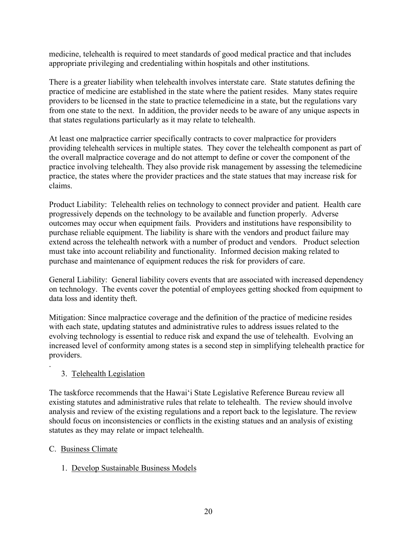medicine, telehealth is required to meet standards of good medical practice and that includes appropriate privileging and credentialing within hospitals and other institutions.

There is a greater liability when telehealth involves interstate care. State statutes defining the practice of medicine are established in the state where the patient resides. Many states require providers to be licensed in the state to practice telemedicine in a state, but the regulations vary from one state to the next. In addition, the provider needs to be aware of any unique aspects in that states regulations particularly as it may relate to telehealth.

At least one malpractice carrier specifically contracts to cover malpractice for providers providing telehealth services in multiple states. They cover the telehealth component as part of the overall malpractice coverage and do not attempt to define or cover the component of the practice involving telehealth. They also provide risk management by assessing the telemedicine practice, the states where the provider practices and the state statues that may increase risk for claims.

Product Liability: Telehealth relies on technology to connect provider and patient. Health care progressively depends on the technology to be available and function properly. Adverse outcomes may occur when equipment fails. Providers and institutions have responsibility to purchase reliable equipment. The liability is share with the vendors and product failure may extend across the telehealth network with a number of product and vendors. Product selection must take into account reliability and functionality. Informed decision making related to purchase and maintenance of equipment reduces the risk for providers of care.

General Liability: General liability covers events that are associated with increased dependency on technology. The events cover the potential of employees getting shocked from equipment to data loss and identity theft.

Mitigation: Since malpractice coverage and the definition of the practice of medicine resides with each state, updating statutes and administrative rules to address issues related to the evolving technology is essential to reduce risk and expand the use of telehealth. Evolving an increased level of conformity among states is a second step in simplifying telehealth practice for providers.

## 3. Telehealth Legislation

The taskforce recommends that the Hawai'i State Legislative Reference Bureau review all existing statutes and administrative rules that relate to telehealth. The review should involve analysis and review of the existing regulations and a report back to the legislature. The review should focus on inconsistencies or conflicts in the existing statues and an analysis of existing statutes as they may relate or impact telehealth.

#### C. Business Climate

.

#### 1. Develop Sustainable Business Models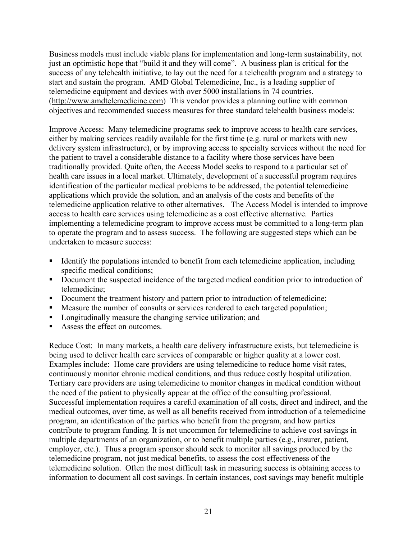Business models must include viable plans for implementation and long-term sustainability, not just an optimistic hope that "build it and they will come". A business plan is critical for the success of any telehealth initiative, to lay out the need for a telehealth program and a strategy to start and sustain the program. AMD Global Telemedicine, Inc., is a leading supplier of telemedicine equipment and devices with over 5000 installations in 74 countries. (http://www.amdtelemedicine.com) This vendor provides a planning outline with common objectives and recommended success measures for three standard telehealth business models:

Improve Access: Many telemedicine programs seek to improve access to health care services, either by making services readily available for the first time (e.g. rural or markets with new delivery system infrastructure), or by improving access to specialty services without the need for the patient to travel a considerable distance to a facility where those services have been traditionally provided. Quite often, the Access Model seeks to respond to a particular set of health care issues in a local market. Ultimately, development of a successful program requires identification of the particular medical problems to be addressed, the potential telemedicine applications which provide the solution, and an analysis of the costs and benefits of the telemedicine application relative to other alternatives. The Access Model is intended to improve access to health care services using telemedicine as a cost effective alternative. Parties implementing a telemedicine program to improve access must be committed to a long-term plan to operate the program and to assess success. The following are suggested steps which can be undertaken to measure success:

- Identify the populations intended to benefit from each telemedicine application, including specific medical conditions;
- Document the suspected incidence of the targeted medical condition prior to introduction of telemedicine;
- Document the treatment history and pattern prior to introduction of telemedicine;
- Measure the number of consults or services rendered to each targeted population;
- **Longitudinally measure the changing service utilization; and**
- Assess the effect on outcomes.

Reduce Cost: In many markets, a health care delivery infrastructure exists, but telemedicine is being used to deliver health care services of comparable or higher quality at a lower cost. Examples include: Home care providers are using telemedicine to reduce home visit rates, continuously monitor chronic medical conditions, and thus reduce costly hospital utilization. Tertiary care providers are using telemedicine to monitor changes in medical condition without the need of the patient to physically appear at the office of the consulting professional. Successful implementation requires a careful examination of all costs, direct and indirect, and the medical outcomes, over time, as well as all benefits received from introduction of a telemedicine program, an identification of the parties who benefit from the program, and how parties contribute to program funding. It is not uncommon for telemedicine to achieve cost savings in multiple departments of an organization, or to benefit multiple parties (e.g., insurer, patient, employer, etc.). Thus a program sponsor should seek to monitor all savings produced by the telemedicine program, not just medical benefits, to assess the cost effectiveness of the telemedicine solution. Often the most difficult task in measuring success is obtaining access to information to document all cost savings. In certain instances, cost savings may benefit multiple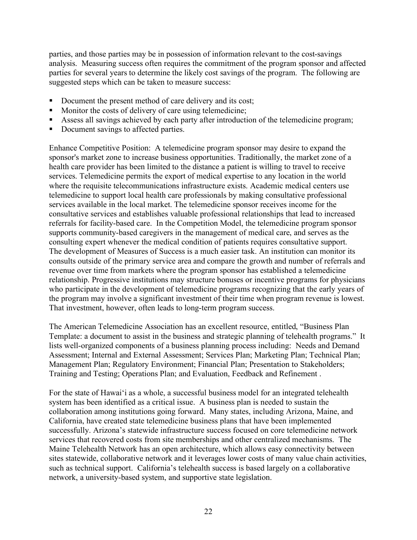parties, and those parties may be in possession of information relevant to the cost-savings analysis. Measuring success often requires the commitment of the program sponsor and affected parties for several years to determine the likely cost savings of the program. The following are suggested steps which can be taken to measure success:

- Document the present method of care delivery and its cost;
- Monitor the costs of delivery of care using telemedicine;
- Assess all savings achieved by each party after introduction of the telemedicine program;
- Document savings to affected parties.

Enhance Competitive Position: A telemedicine program sponsor may desire to expand the sponsor's market zone to increase business opportunities. Traditionally, the market zone of a health care provider has been limited to the distance a patient is willing to travel to receive services. Telemedicine permits the export of medical expertise to any location in the world where the requisite telecommunications infrastructure exists. Academic medical centers use telemedicine to support local health care professionals by making consultative professional services available in the local market. The telemedicine sponsor receives income for the consultative services and establishes valuable professional relationships that lead to increased referrals for facility-based care. In the Competition Model, the telemedicine program sponsor supports community-based caregivers in the management of medical care, and serves as the consulting expert whenever the medical condition of patients requires consultative support. The development of Measures of Success is a much easier task. An institution can monitor its consults outside of the primary service area and compare the growth and number of referrals and revenue over time from markets where the program sponsor has established a telemedicine relationship. Progressive institutions may structure bonuses or incentive programs for physicians who participate in the development of telemedicine programs recognizing that the early years of the program may involve a significant investment of their time when program revenue is lowest. That investment, however, often leads to long-term program success.

The American Telemedicine Association has an excellent resource, entitled, "Business Plan Template: a document to assist in the business and strategic planning of telehealth programs." It lists well-organized components of a business planning process including: Needs and Demand Assessment; Internal and External Assessment; Services Plan; Marketing Plan; Technical Plan; Management Plan; Regulatory Environment; Financial Plan; Presentation to Stakeholders; Training and Testing; Operations Plan; and Evaluation, Feedback and Refinement .

For the state of Hawai'i as a whole, a successful business model for an integrated telehealth system has been identified as a critical issue. A business plan is needed to sustain the collaboration among institutions going forward. Many states, including Arizona, Maine, and California, have created state telemedicine business plans that have been implemented successfully. Arizona's statewide infrastructure success focused on core telemedicine network services that recovered costs from site memberships and other centralized mechanisms. The Maine Telehealth Network has an open architecture, which allows easy connectivity between sites statewide, collaborative network and it leverages lower costs of many value chain activities, such as technical support. California's telehealth success is based largely on a collaborative network, a university-based system, and supportive state legislation.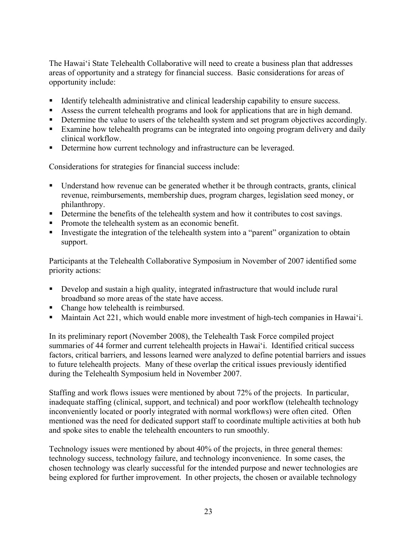The Hawai'i State Telehealth Collaborative will need to create a business plan that addresses areas of opportunity and a strategy for financial success. Basic considerations for areas of opportunity include:

- Identify telehealth administrative and clinical leadership capability to ensure success.
- Assess the current telehealth programs and look for applications that are in high demand.
- Determine the value to users of the telehealth system and set program objectives accordingly.
- Examine how telehealth programs can be integrated into ongoing program delivery and daily clinical workflow.
- Determine how current technology and infrastructure can be leveraged.

Considerations for strategies for financial success include:

- Understand how revenue can be generated whether it be through contracts, grants, clinical revenue, reimbursements, membership dues, program charges, legislation seed money, or philanthropy.
- Determine the benefits of the telehealth system and how it contributes to cost savings.
- Promote the telehealth system as an economic benefit.
- Investigate the integration of the telehealth system into a "parent" organization to obtain support.

Participants at the Telehealth Collaborative Symposium in November of 2007 identified some priority actions:

- Develop and sustain a high quality, integrated infrastructure that would include rural broadband so more areas of the state have access.
- Change how telehealth is reimbursed.
- Maintain Act 221, which would enable more investment of high-tech companies in Hawai'i.

In its preliminary report (November 2008), the Telehealth Task Force compiled project summaries of 44 former and current telehealth projects in Hawai'i. Identified critical success factors, critical barriers, and lessons learned were analyzed to define potential barriers and issues to future telehealth projects. Many of these overlap the critical issues previously identified during the Telehealth Symposium held in November 2007.

Staffing and work flows issues were mentioned by about 72% of the projects. In particular, inadequate staffing (clinical, support, and technical) and poor workflow (telehealth technology inconveniently located or poorly integrated with normal workflows) were often cited. Often mentioned was the need for dedicated support staff to coordinate multiple activities at both hub and spoke sites to enable the telehealth encounters to run smoothly.

Technology issues were mentioned by about 40% of the projects, in three general themes: technology success, technology failure, and technology inconvenience. In some cases, the chosen technology was clearly successful for the intended purpose and newer technologies are being explored for further improvement. In other projects, the chosen or available technology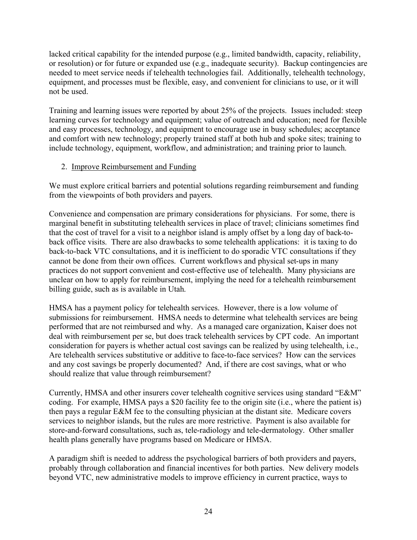lacked critical capability for the intended purpose (e.g., limited bandwidth, capacity, reliability, or resolution) or for future or expanded use (e.g., inadequate security). Backup contingencies are needed to meet service needs if telehealth technologies fail. Additionally, telehealth technology, equipment, and processes must be flexible, easy, and convenient for clinicians to use, or it will not be used.

Training and learning issues were reported by about 25% of the projects. Issues included: steep learning curves for technology and equipment; value of outreach and education; need for flexible and easy processes, technology, and equipment to encourage use in busy schedules; acceptance and comfort with new technology; properly trained staff at both hub and spoke sites; training to include technology, equipment, workflow, and administration; and training prior to launch.

## 2. Improve Reimbursement and Funding

We must explore critical barriers and potential solutions regarding reimbursement and funding from the viewpoints of both providers and payers.

Convenience and compensation are primary considerations for physicians. For some, there is marginal benefit in substituting telehealth services in place of travel; clinicians sometimes find that the cost of travel for a visit to a neighbor island is amply offset by a long day of back-toback office visits. There are also drawbacks to some telehealth applications: it is taxing to do back-to-back VTC consultations, and it is inefficient to do sporadic VTC consultations if they cannot be done from their own offices. Current workflows and physical set-ups in many practices do not support convenient and cost-effective use of telehealth. Many physicians are unclear on how to apply for reimbursement, implying the need for a telehealth reimbursement billing guide, such as is available in Utah.

HMSA has a payment policy for telehealth services. However, there is a low volume of submissions for reimbursement. HMSA needs to determine what telehealth services are being performed that are not reimbursed and why. As a managed care organization, Kaiser does not deal with reimbursement per se, but does track telehealth services by CPT code. An important consideration for payers is whether actual cost savings can be realized by using telehealth, i.e., Are telehealth services substitutive or additive to face-to-face services? How can the services and any cost savings be properly documented? And, if there are cost savings, what or who should realize that value through reimbursement?

Currently, HMSA and other insurers cover telehealth cognitive services using standard "E&M" coding. For example, HMSA pays a \$20 facility fee to the origin site (i.e., where the patient is) then pays a regular E&M fee to the consulting physician at the distant site. Medicare covers services to neighbor islands, but the rules are more restrictive. Payment is also available for store-and-forward consultations, such as, tele-radiology and tele-dermatology. Other smaller health plans generally have programs based on Medicare or HMSA.

A paradigm shift is needed to address the psychological barriers of both providers and payers, probably through collaboration and financial incentives for both parties. New delivery models beyond VTC, new administrative models to improve efficiency in current practice, ways to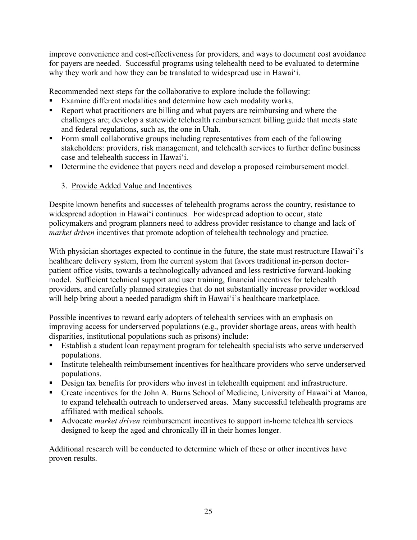improve convenience and cost-effectiveness for providers, and ways to document cost avoidance for payers are needed. Successful programs using telehealth need to be evaluated to determine why they work and how they can be translated to widespread use in Hawai'i.

Recommended next steps for the collaborative to explore include the following:

- Examine different modalities and determine how each modality works.
- Report what practitioners are billing and what payers are reimbursing and where the challenges are; develop a statewide telehealth reimbursement billing guide that meets state and federal regulations, such as, the one in Utah.
- Form small collaborative groups including representatives from each of the following stakeholders: providers, risk management, and telehealth services to further define business case and telehealth success in Hawai'i.
- Determine the evidence that payers need and develop a proposed reimbursement model.

## 3. Provide Added Value and Incentives

Despite known benefits and successes of telehealth programs across the country, resistance to widespread adoption in Hawai'i continues. For widespread adoption to occur, state policymakers and program planners need to address provider resistance to change and lack of *market driven* incentives that promote adoption of telehealth technology and practice.

With physician shortages expected to continue in the future, the state must restructure Hawai'i's healthcare delivery system, from the current system that favors traditional in-person doctorpatient office visits, towards a technologically advanced and less restrictive forward-looking model. Sufficient technical support and user training, financial incentives for telehealth providers, and carefully planned strategies that do not substantially increase provider workload will help bring about a needed paradigm shift in Hawai'i's healthcare marketplace.

Possible incentives to reward early adopters of telehealth services with an emphasis on improving access for underserved populations (e.g., provider shortage areas, areas with health disparities, institutional populations such as prisons) include:

- Establish a student loan repayment program for telehealth specialists who serve underserved populations.
- **Institute telehealth reimbursement incentives for healthcare providers who serve underserved** populations.
- Design tax benefits for providers who invest in telehealth equipment and infrastructure.
- Create incentives for the John A. Burns School of Medicine, University of Hawai'i at Manoa, to expand telehealth outreach to underserved areas. Many successful telehealth programs are affiliated with medical schools.
- Advocate *market driven* reimbursement incentives to support in-home telehealth services designed to keep the aged and chronically ill in their homes longer.

Additional research will be conducted to determine which of these or other incentives have proven results.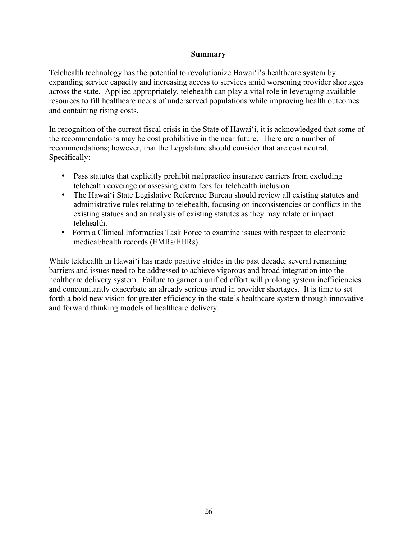#### **Summary**

Telehealth technology has the potential to revolutionize Hawai'i's healthcare system by expanding service capacity and increasing access to services amid worsening provider shortages across the state. Applied appropriately, telehealth can play a vital role in leveraging available resources to fill healthcare needs of underserved populations while improving health outcomes and containing rising costs.

In recognition of the current fiscal crisis in the State of Hawai'i, it is acknowledged that some of the recommendations may be cost prohibitive in the near future. There are a number of recommendations; however, that the Legislature should consider that are cost neutral. Specifically:

- Pass statutes that explicitly prohibit malpractice insurance carriers from excluding telehealth coverage or assessing extra fees for telehealth inclusion.
- The Hawai'i State Legislative Reference Bureau should review all existing statutes and administrative rules relating to telehealth, focusing on inconsistencies or conflicts in the existing statues and an analysis of existing statutes as they may relate or impact telehealth.
- Form a Clinical Informatics Task Force to examine issues with respect to electronic medical/health records (EMRs/EHRs).

While telehealth in Hawai'i has made positive strides in the past decade, several remaining barriers and issues need to be addressed to achieve vigorous and broad integration into the healthcare delivery system. Failure to garner a unified effort will prolong system inefficiencies and concomitantly exacerbate an already serious trend in provider shortages. It is time to set forth a bold new vision for greater efficiency in the state's healthcare system through innovative and forward thinking models of healthcare delivery.